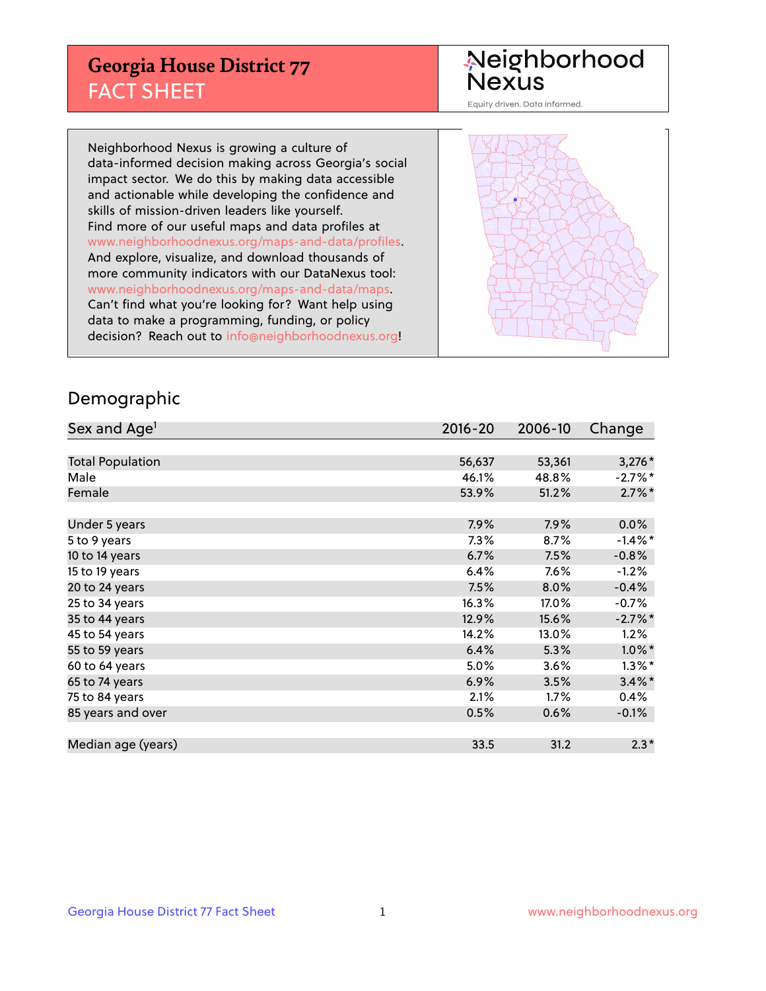## **Georgia House District 77** FACT SHEET

# Neighborhood<br>Nexus

Equity driven. Data informed.

Neighborhood Nexus is growing a culture of data-informed decision making across Georgia's social impact sector. We do this by making data accessible and actionable while developing the confidence and skills of mission-driven leaders like yourself. Find more of our useful maps and data profiles at www.neighborhoodnexus.org/maps-and-data/profiles. And explore, visualize, and download thousands of more community indicators with our DataNexus tool: www.neighborhoodnexus.org/maps-and-data/maps. Can't find what you're looking for? Want help using data to make a programming, funding, or policy decision? Reach out to [info@neighborhoodnexus.org!](mailto:info@neighborhoodnexus.org)



### Demographic

| Sex and Age <sup>1</sup> | $2016 - 20$ | 2006-10 | Change     |
|--------------------------|-------------|---------|------------|
|                          |             |         |            |
| <b>Total Population</b>  | 56,637      | 53,361  | $3,276*$   |
| Male                     | 46.1%       | 48.8%   | $-2.7%$ *  |
| Female                   | 53.9%       | 51.2%   | $2.7\%$ *  |
|                          |             |         |            |
| Under 5 years            | 7.9%        | 7.9%    | 0.0%       |
| 5 to 9 years             | 7.3%        | $8.7\%$ | $-1.4\%$ * |
| 10 to 14 years           | 6.7%        | 7.5%    | $-0.8%$    |
| 15 to 19 years           | 6.4%        | $7.6\%$ | $-1.2%$    |
| 20 to 24 years           | 7.5%        | 8.0%    | $-0.4%$    |
| 25 to 34 years           | 16.3%       | 17.0%   | $-0.7%$    |
| 35 to 44 years           | 12.9%       | 15.6%   | $-2.7%$ *  |
| 45 to 54 years           | 14.2%       | 13.0%   | 1.2%       |
| 55 to 59 years           | 6.4%        | 5.3%    | $1.0\%$ *  |
| 60 to 64 years           | 5.0%        | 3.6%    | $1.3\%$ *  |
| 65 to 74 years           | 6.9%        | 3.5%    | $3.4\%$ *  |
| 75 to 84 years           | 2.1%        | 1.7%    | 0.4%       |
| 85 years and over        | 0.5%        | 0.6%    | $-0.1\%$   |
|                          |             |         |            |
| Median age (years)       | 33.5        | 31.2    | $2.3*$     |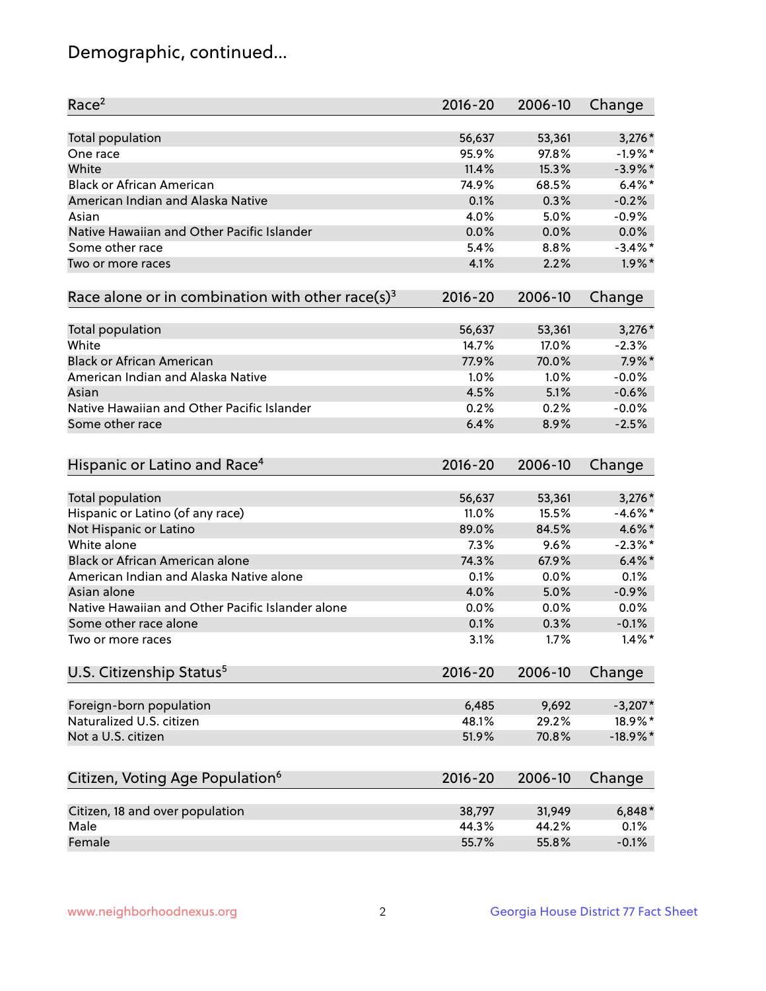## Demographic, continued...

| Race <sup>2</sup>                                            | $2016 - 20$ | 2006-10 | Change      |
|--------------------------------------------------------------|-------------|---------|-------------|
| <b>Total population</b>                                      | 56,637      | 53,361  | $3,276*$    |
| One race                                                     | 95.9%       | 97.8%   | $-1.9%$ *   |
| White                                                        | 11.4%       | 15.3%   | $-3.9\%$ *  |
| <b>Black or African American</b>                             | 74.9%       | 68.5%   | $6.4\%$ *   |
| American Indian and Alaska Native                            | 0.1%        | 0.3%    | $-0.2%$     |
| Asian                                                        | 4.0%        | 5.0%    | $-0.9%$     |
| Native Hawaiian and Other Pacific Islander                   | 0.0%        | 0.0%    | 0.0%        |
| Some other race                                              | 5.4%        | 8.8%    | $-3.4\%$ *  |
| Two or more races                                            | 4.1%        | 2.2%    | $1.9\%$ *   |
| Race alone or in combination with other race(s) <sup>3</sup> | $2016 - 20$ | 2006-10 | Change      |
| Total population                                             | 56,637      | 53,361  | $3,276*$    |
| White                                                        | 14.7%       | 17.0%   | $-2.3%$     |
| <b>Black or African American</b>                             | 77.9%       | 70.0%   | $7.9\%$ *   |
| American Indian and Alaska Native                            | 1.0%        | 1.0%    | $-0.0%$     |
| Asian                                                        | 4.5%        | 5.1%    | $-0.6%$     |
| Native Hawaiian and Other Pacific Islander                   | 0.2%        | 0.2%    | $-0.0%$     |
| Some other race                                              | 6.4%        | 8.9%    | $-2.5%$     |
|                                                              |             |         |             |
| Hispanic or Latino and Race <sup>4</sup>                     | $2016 - 20$ | 2006-10 | Change      |
| <b>Total population</b>                                      | 56,637      | 53,361  | $3,276*$    |
| Hispanic or Latino (of any race)                             | 11.0%       | 15.5%   | $-4.6\%$ *  |
| Not Hispanic or Latino                                       | 89.0%       | 84.5%   | 4.6%*       |
| White alone                                                  | 7.3%        | 9.6%    | $-2.3\%$ *  |
| Black or African American alone                              | 74.3%       | 67.9%   | $6.4\%$ *   |
| American Indian and Alaska Native alone                      | 0.1%        | 0.0%    | 0.1%        |
| Asian alone                                                  | 4.0%        | 5.0%    | $-0.9%$     |
| Native Hawaiian and Other Pacific Islander alone             | $0.0\%$     | 0.0%    | 0.0%        |
| Some other race alone                                        | 0.1%        | 0.3%    | $-0.1%$     |
| Two or more races                                            | 3.1%        | 1.7%    | $1.4\%$ *   |
| U.S. Citizenship Status <sup>5</sup>                         | $2016 - 20$ | 2006-10 | Change      |
|                                                              |             |         |             |
| Foreign-born population                                      | 6,485       | 9,692   | $-3,207*$   |
| Naturalized U.S. citizen                                     | 48.1%       | 29.2%   | 18.9%*      |
| Not a U.S. citizen                                           | 51.9%       | 70.8%   | $-18.9\%$ * |
| Citizen, Voting Age Population <sup>6</sup>                  | $2016 - 20$ | 2006-10 | Change      |
| Citizen, 18 and over population                              | 38,797      | 31,949  | $6,848*$    |
| Male                                                         | 44.3%       | 44.2%   | 0.1%        |
| Female                                                       | 55.7%       | 55.8%   | $-0.1%$     |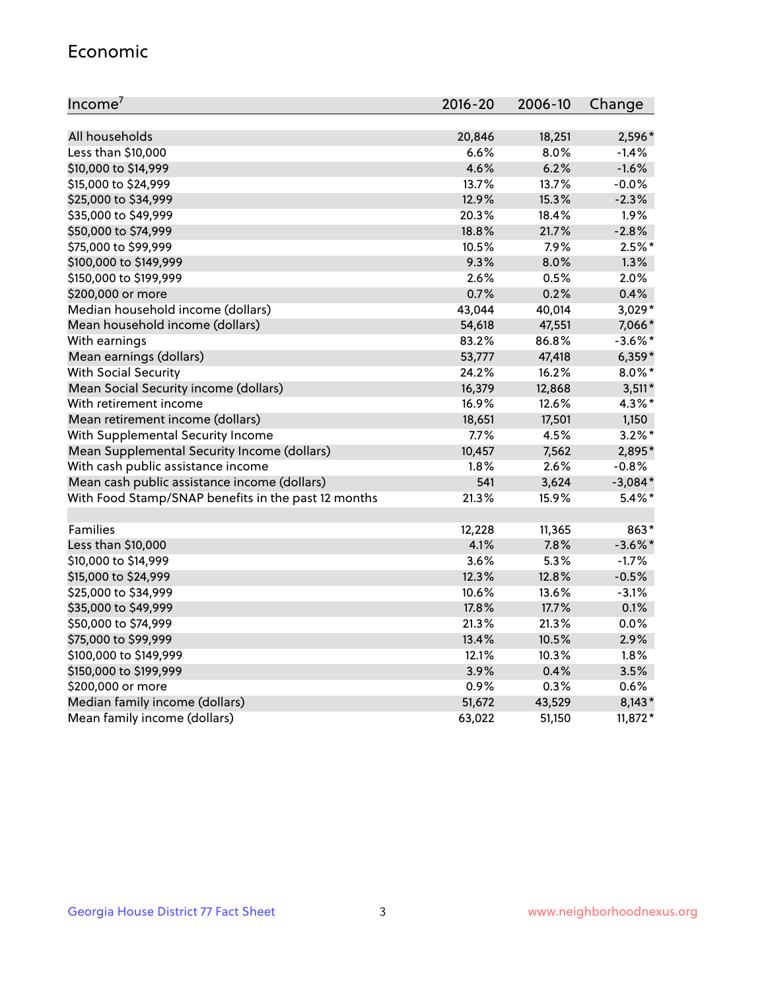#### Economic

| Income <sup>7</sup>                                 | $2016 - 20$ | 2006-10 | Change     |
|-----------------------------------------------------|-------------|---------|------------|
|                                                     |             |         |            |
| All households                                      | 20,846      | 18,251  | 2,596*     |
| Less than \$10,000                                  | 6.6%        | 8.0%    | $-1.4%$    |
| \$10,000 to \$14,999                                | 4.6%        | 6.2%    | $-1.6%$    |
| \$15,000 to \$24,999                                | 13.7%       | 13.7%   | $-0.0%$    |
| \$25,000 to \$34,999                                | 12.9%       | 15.3%   | $-2.3%$    |
| \$35,000 to \$49,999                                | 20.3%       | 18.4%   | 1.9%       |
| \$50,000 to \$74,999                                | 18.8%       | 21.7%   | $-2.8%$    |
| \$75,000 to \$99,999                                | 10.5%       | 7.9%    | $2.5%$ *   |
| \$100,000 to \$149,999                              | 9.3%        | 8.0%    | 1.3%       |
| \$150,000 to \$199,999                              | 2.6%        | 0.5%    | 2.0%       |
| \$200,000 or more                                   | 0.7%        | 0.2%    | 0.4%       |
| Median household income (dollars)                   | 43,044      | 40,014  | 3,029*     |
| Mean household income (dollars)                     | 54,618      | 47,551  | 7,066*     |
| With earnings                                       | 83.2%       | 86.8%   | $-3.6\%$ * |
| Mean earnings (dollars)                             | 53,777      | 47,418  | $6,359*$   |
| <b>With Social Security</b>                         | 24.2%       | 16.2%   | $8.0\%$ *  |
| Mean Social Security income (dollars)               | 16,379      | 12,868  | $3,511*$   |
| With retirement income                              | 16.9%       | 12.6%   | 4.3%*      |
| Mean retirement income (dollars)                    | 18,651      | 17,501  | 1,150      |
| With Supplemental Security Income                   | 7.7%        | 4.5%    | $3.2\%$ *  |
| Mean Supplemental Security Income (dollars)         | 10,457      | 7,562   | 2,895*     |
| With cash public assistance income                  | 1.8%        | 2.6%    | $-0.8%$    |
| Mean cash public assistance income (dollars)        | 541         | 3,624   | $-3,084*$  |
| With Food Stamp/SNAP benefits in the past 12 months | 21.3%       | 15.9%   | $5.4\%$ *  |
|                                                     |             |         |            |
| Families                                            | 12,228      | 11,365  | 863*       |
| Less than \$10,000                                  | 4.1%        | 7.8%    | $-3.6\%$ * |
| \$10,000 to \$14,999                                | 3.6%        | 5.3%    | $-1.7%$    |
| \$15,000 to \$24,999                                | 12.3%       | 12.8%   | $-0.5%$    |
| \$25,000 to \$34,999                                | 10.6%       | 13.6%   | $-3.1%$    |
| \$35,000 to \$49,999                                | 17.8%       | 17.7%   | 0.1%       |
| \$50,000 to \$74,999                                | 21.3%       | 21.3%   | 0.0%       |
| \$75,000 to \$99,999                                | 13.4%       | 10.5%   | 2.9%       |
| \$100,000 to \$149,999                              | 12.1%       | 10.3%   | 1.8%       |
| \$150,000 to \$199,999                              | 3.9%        | 0.4%    | 3.5%       |
| \$200,000 or more                                   | 0.9%        | 0.3%    | 0.6%       |
| Median family income (dollars)                      | 51,672      | 43,529  | $8,143*$   |
| Mean family income (dollars)                        | 63,022      | 51,150  | 11,872*    |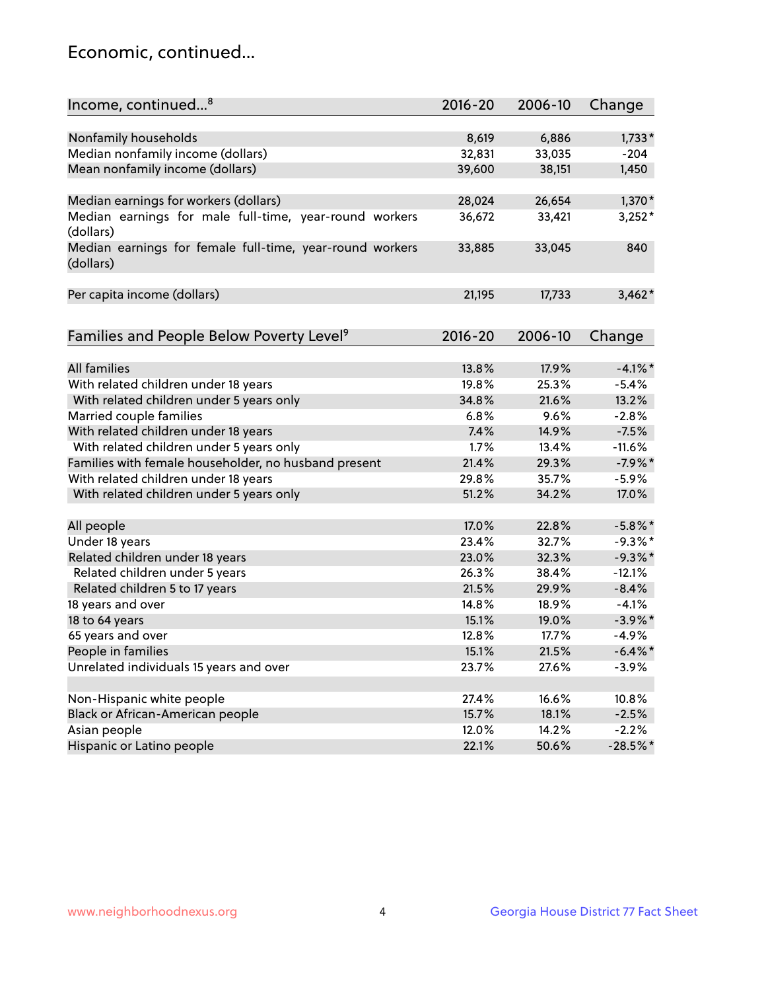## Economic, continued...

| Income, continued <sup>8</sup>                                        | $2016 - 20$ | 2006-10 | Change      |
|-----------------------------------------------------------------------|-------------|---------|-------------|
|                                                                       |             |         |             |
| Nonfamily households                                                  | 8,619       | 6,886   | $1,733*$    |
| Median nonfamily income (dollars)                                     | 32,831      | 33,035  | $-204$      |
| Mean nonfamily income (dollars)                                       | 39,600      | 38,151  | 1,450       |
| Median earnings for workers (dollars)                                 | 28,024      | 26,654  | $1,370*$    |
| Median earnings for male full-time, year-round workers                | 36,672      | 33,421  | $3,252*$    |
| (dollars)                                                             |             |         |             |
| Median earnings for female full-time, year-round workers<br>(dollars) | 33,885      | 33,045  | 840         |
| Per capita income (dollars)                                           | 21,195      | 17,733  | $3,462*$    |
|                                                                       |             |         |             |
| Families and People Below Poverty Level <sup>9</sup>                  | $2016 - 20$ | 2006-10 | Change      |
|                                                                       |             |         |             |
| <b>All families</b>                                                   | 13.8%       | 17.9%   | $-4.1\%$ *  |
| With related children under 18 years                                  | 19.8%       | 25.3%   | $-5.4%$     |
| With related children under 5 years only                              | 34.8%       | 21.6%   | 13.2%       |
| Married couple families                                               | 6.8%        | 9.6%    | $-2.8%$     |
| With related children under 18 years                                  | 7.4%        | 14.9%   | $-7.5%$     |
| With related children under 5 years only                              | 1.7%        | 13.4%   | $-11.6%$    |
| Families with female householder, no husband present                  | 21.4%       | 29.3%   | $-7.9%$ *   |
| With related children under 18 years                                  | 29.8%       | 35.7%   | $-5.9%$     |
| With related children under 5 years only                              | 51.2%       | 34.2%   | 17.0%       |
| All people                                                            | 17.0%       | 22.8%   | $-5.8\%$ *  |
| Under 18 years                                                        | 23.4%       | 32.7%   | $-9.3%$ *   |
| Related children under 18 years                                       | 23.0%       | 32.3%   | $-9.3%$     |
| Related children under 5 years                                        | 26.3%       | 38.4%   | $-12.1%$    |
| Related children 5 to 17 years                                        | 21.5%       | 29.9%   | $-8.4%$     |
| 18 years and over                                                     | 14.8%       | 18.9%   | $-4.1%$     |
| 18 to 64 years                                                        | 15.1%       | 19.0%   | $-3.9\%$ *  |
| 65 years and over                                                     | 12.8%       | 17.7%   | $-4.9%$     |
| People in families                                                    | 15.1%       | 21.5%   | $-6.4\%$ *  |
| Unrelated individuals 15 years and over                               | 23.7%       | 27.6%   | $-3.9%$     |
|                                                                       |             |         |             |
| Non-Hispanic white people                                             | 27.4%       | 16.6%   | 10.8%       |
| Black or African-American people                                      | 15.7%       | 18.1%   | $-2.5%$     |
| Asian people                                                          | 12.0%       | 14.2%   | $-2.2%$     |
| Hispanic or Latino people                                             | 22.1%       | 50.6%   | $-28.5\%$ * |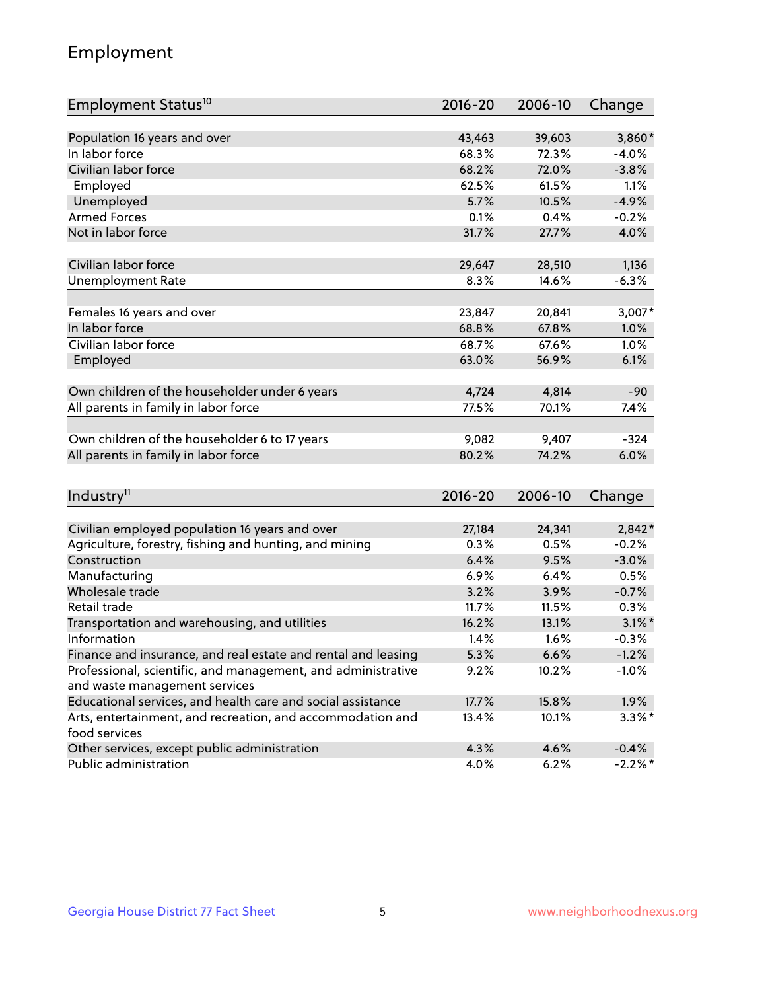## Employment

| Employment Status <sup>10</sup>                                             | $2016 - 20$ | 2006-10 | Change     |
|-----------------------------------------------------------------------------|-------------|---------|------------|
|                                                                             |             |         |            |
| Population 16 years and over                                                | 43,463      | 39,603  | 3,860*     |
| In labor force                                                              | 68.3%       | 72.3%   | $-4.0%$    |
| Civilian labor force                                                        | 68.2%       | 72.0%   | $-3.8%$    |
| Employed                                                                    | 62.5%       | 61.5%   | 1.1%       |
| Unemployed                                                                  | 5.7%        | 10.5%   | $-4.9%$    |
| <b>Armed Forces</b>                                                         | 0.1%        | 0.4%    | $-0.2%$    |
| Not in labor force                                                          | 31.7%       | 27.7%   | 4.0%       |
| Civilian labor force                                                        | 29,647      | 28,510  | 1,136      |
|                                                                             | 8.3%        | 14.6%   |            |
| <b>Unemployment Rate</b>                                                    |             |         | $-6.3%$    |
| Females 16 years and over                                                   | 23,847      | 20,841  | $3,007*$   |
| In labor force                                                              | 68.8%       | 67.8%   | 1.0%       |
| Civilian labor force                                                        | 68.7%       | 67.6%   | 1.0%       |
| Employed                                                                    | 63.0%       | 56.9%   | 6.1%       |
|                                                                             |             |         |            |
| Own children of the householder under 6 years                               | 4,724       | 4,814   | $-90$      |
| All parents in family in labor force                                        | 77.5%       | 70.1%   | 7.4%       |
|                                                                             |             |         |            |
| Own children of the householder 6 to 17 years                               | 9,082       | 9,407   | $-324$     |
| All parents in family in labor force                                        | 80.2%       | 74.2%   | 6.0%       |
|                                                                             |             |         |            |
| Industry <sup>11</sup>                                                      | $2016 - 20$ | 2006-10 | Change     |
|                                                                             |             |         |            |
| Civilian employed population 16 years and over                              | 27,184      | 24,341  | $2,842*$   |
| Agriculture, forestry, fishing and hunting, and mining                      | 0.3%        | 0.5%    | $-0.2%$    |
| Construction                                                                | 6.4%        | 9.5%    | $-3.0%$    |
| Manufacturing                                                               | 6.9%        | 6.4%    | 0.5%       |
| Wholesale trade                                                             | 3.2%        | 3.9%    | $-0.7%$    |
| Retail trade                                                                | 11.7%       | 11.5%   | 0.3%       |
| Transportation and warehousing, and utilities                               | 16.2%       | 13.1%   | $3.1\%$ *  |
| Information                                                                 | 1.4%        | 1.6%    | $-0.3%$    |
| Finance and insurance, and real estate and rental and leasing               | 5.3%        | 6.6%    | $-1.2%$    |
| Professional, scientific, and management, and administrative                | 9.2%        | 10.2%   | $-1.0%$    |
| and waste management services                                               |             |         |            |
| Educational services, and health care and social assistance                 | 17.7%       | 15.8%   | 1.9%       |
| Arts, entertainment, and recreation, and accommodation and<br>food services | 13.4%       | 10.1%   | $3.3\%$ *  |
| Other services, except public administration                                | 4.3%        | 4.6%    | $-0.4%$    |
| Public administration                                                       | 4.0%        | 6.2%    | $-2.2\%$ * |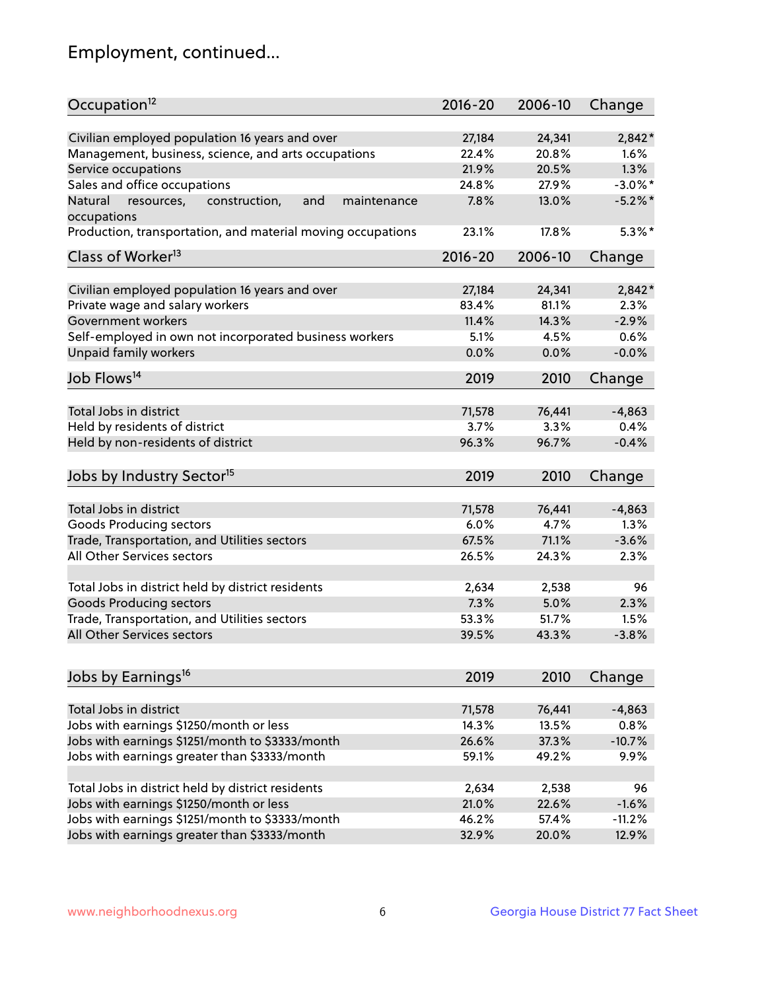## Employment, continued...

| Occupation <sup>12</sup>                                                    | $2016 - 20$ | 2006-10 | Change     |
|-----------------------------------------------------------------------------|-------------|---------|------------|
| Civilian employed population 16 years and over                              | 27,184      | 24,341  | $2,842*$   |
| Management, business, science, and arts occupations                         | 22.4%       | 20.8%   | 1.6%       |
| Service occupations                                                         | 21.9%       | 20.5%   | 1.3%       |
| Sales and office occupations                                                | 24.8%       | 27.9%   | $-3.0\%$ * |
|                                                                             |             |         | $-5.2\%$ * |
| Natural<br>and<br>resources,<br>construction,<br>maintenance<br>occupations | 7.8%        | 13.0%   |            |
| Production, transportation, and material moving occupations                 | 23.1%       | 17.8%   | $5.3\%$ *  |
| Class of Worker <sup>13</sup>                                               | $2016 - 20$ | 2006-10 | Change     |
| Civilian employed population 16 years and over                              | 27,184      | 24,341  | 2,842*     |
| Private wage and salary workers                                             | 83.4%       | 81.1%   | 2.3%       |
| Government workers                                                          | 11.4%       | 14.3%   | $-2.9%$    |
|                                                                             |             |         |            |
| Self-employed in own not incorporated business workers                      | 5.1%        | 4.5%    | 0.6%       |
| Unpaid family workers                                                       | 0.0%        | 0.0%    | $-0.0%$    |
| Job Flows <sup>14</sup>                                                     | 2019        | 2010    | Change     |
|                                                                             |             |         |            |
| Total Jobs in district                                                      | 71,578      | 76,441  | $-4,863$   |
| Held by residents of district                                               | 3.7%        | 3.3%    | 0.4%       |
| Held by non-residents of district                                           | 96.3%       | 96.7%   | $-0.4%$    |
| Jobs by Industry Sector <sup>15</sup>                                       | 2019        | 2010    | Change     |
| Total Jobs in district                                                      | 71,578      | 76,441  | $-4,863$   |
|                                                                             | 6.0%        | 4.7%    | 1.3%       |
| Goods Producing sectors                                                     |             |         | $-3.6%$    |
| Trade, Transportation, and Utilities sectors                                | 67.5%       | 71.1%   |            |
| All Other Services sectors                                                  | 26.5%       | 24.3%   | 2.3%       |
| Total Jobs in district held by district residents                           | 2,634       | 2,538   | 96         |
| <b>Goods Producing sectors</b>                                              | 7.3%        | 5.0%    | 2.3%       |
| Trade, Transportation, and Utilities sectors                                | 53.3%       | 51.7%   | 1.5%       |
| All Other Services sectors                                                  | 39.5%       | 43.3%   | $-3.8%$    |
|                                                                             |             |         |            |
| Jobs by Earnings <sup>16</sup>                                              | 2019        | 2010    | Change     |
| Total Jobs in district                                                      |             |         |            |
|                                                                             | 71,578      | 76,441  | $-4,863$   |
| Jobs with earnings \$1250/month or less                                     | 14.3%       | 13.5%   | 0.8%       |
| Jobs with earnings \$1251/month to \$3333/month                             | 26.6%       | 37.3%   | $-10.7%$   |
| Jobs with earnings greater than \$3333/month                                | 59.1%       | 49.2%   | 9.9%       |
| Total Jobs in district held by district residents                           | 2,634       | 2,538   | 96         |
| Jobs with earnings \$1250/month or less                                     | 21.0%       | 22.6%   | $-1.6%$    |
| Jobs with earnings \$1251/month to \$3333/month                             | 46.2%       | 57.4%   | $-11.2%$   |
| Jobs with earnings greater than \$3333/month                                | 32.9%       | 20.0%   | 12.9%      |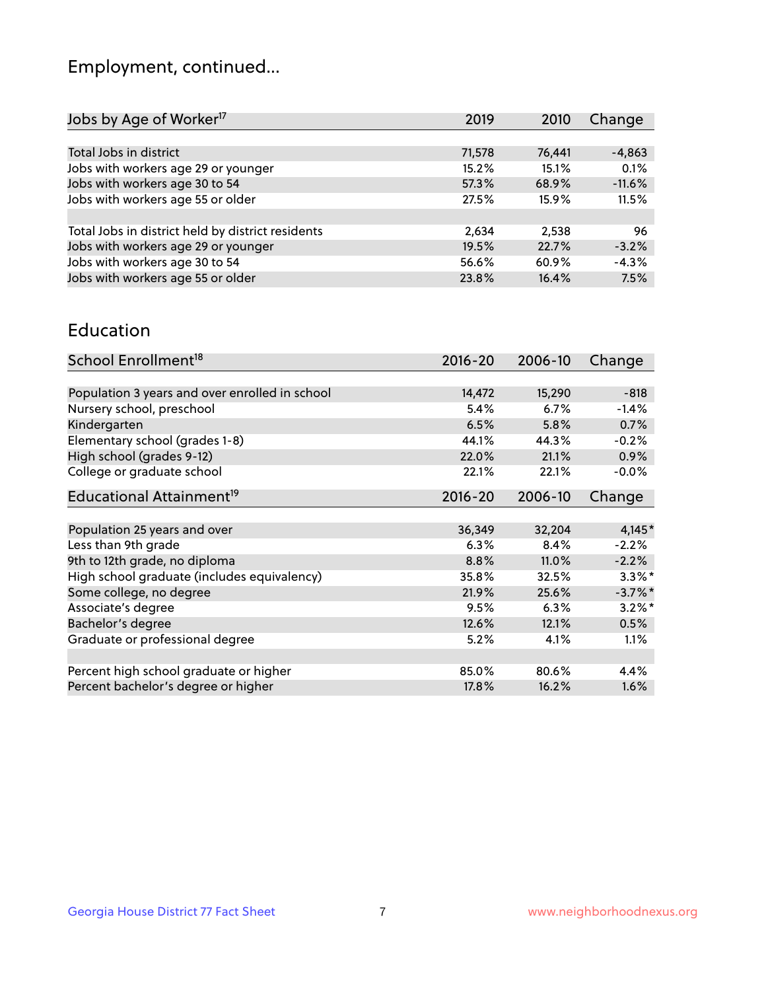## Employment, continued...

| 2019   | 2010   | Change   |
|--------|--------|----------|
|        |        |          |
| 71,578 | 76,441 | $-4,863$ |
| 15.2%  | 15.1%  | 0.1%     |
| 57.3%  | 68.9%  | $-11.6%$ |
| 27.5%  | 15.9%  | 11.5%    |
|        |        |          |
| 2,634  | 2,538  | 96       |
| 19.5%  | 22.7%  | $-3.2%$  |
| 56.6%  | 60.9%  | $-4.3%$  |
| 23.8%  | 16.4%  | 7.5%     |
|        |        |          |

#### Education

| School Enrollment <sup>18</sup>                | $2016 - 20$ | 2006-10 | Change     |
|------------------------------------------------|-------------|---------|------------|
|                                                |             |         |            |
| Population 3 years and over enrolled in school | 14,472      | 15,290  | $-818$     |
| Nursery school, preschool                      | 5.4%        | 6.7%    | $-1.4%$    |
| Kindergarten                                   | 6.5%        | 5.8%    | 0.7%       |
| Elementary school (grades 1-8)                 | 44.1%       | 44.3%   | $-0.2%$    |
| High school (grades 9-12)                      | 22.0%       | 21.1%   | $0.9\%$    |
| College or graduate school                     | 22.1%       | 22.1%   | $-0.0%$    |
| Educational Attainment <sup>19</sup>           | $2016 - 20$ | 2006-10 | Change     |
|                                                |             |         |            |
| Population 25 years and over                   | 36,349      | 32,204  | $4,145*$   |
| Less than 9th grade                            | 6.3%        | 8.4%    | $-2.2%$    |
| 9th to 12th grade, no diploma                  | 8.8%        | 11.0%   | $-2.2%$    |
| High school graduate (includes equivalency)    | 35.8%       | 32.5%   | $3.3\%$ *  |
| Some college, no degree                        | 21.9%       | 25.6%   | $-3.7\%$ * |
| Associate's degree                             | 9.5%        | 6.3%    | $3.2\%$ *  |
| Bachelor's degree                              | 12.6%       | 12.1%   | 0.5%       |
| Graduate or professional degree                | 5.2%        | 4.1%    | 1.1%       |
|                                                |             |         |            |
| Percent high school graduate or higher         | 85.0%       | 80.6%   | 4.4%       |
| Percent bachelor's degree or higher            | 17.8%       | 16.2%   | 1.6%       |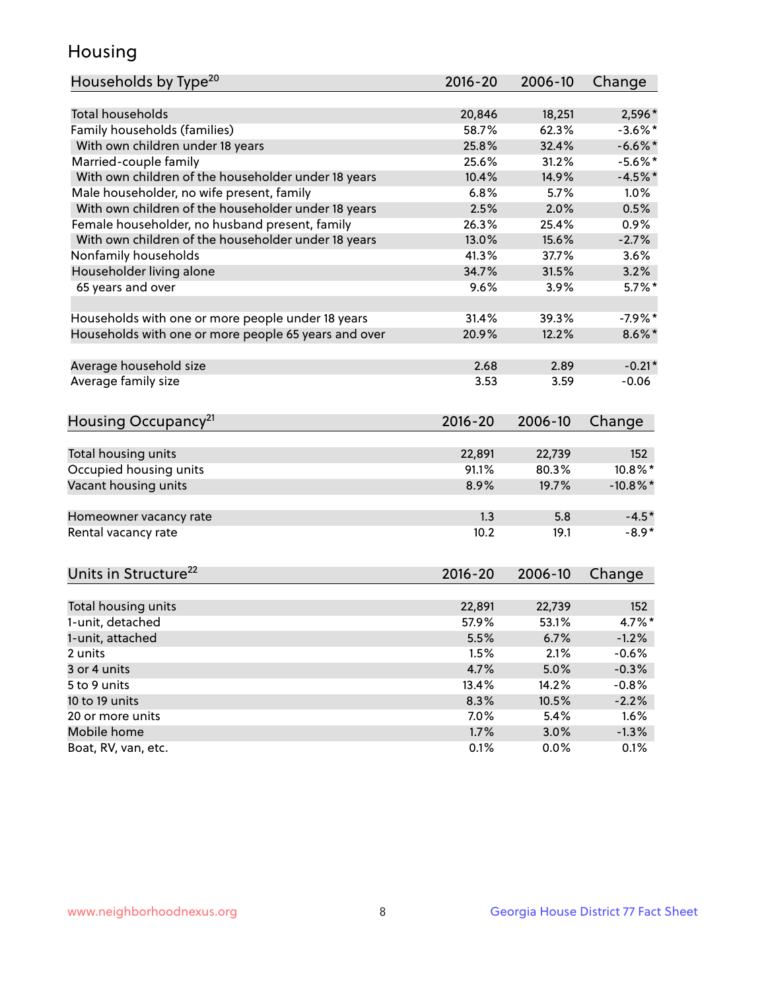## Housing

| Households by Type <sup>20</sup>                     | 2016-20     | 2006-10 | Change      |
|------------------------------------------------------|-------------|---------|-------------|
|                                                      |             |         |             |
| <b>Total households</b>                              | 20,846      | 18,251  | 2,596*      |
| Family households (families)                         | 58.7%       | 62.3%   | $-3.6\%$ *  |
| With own children under 18 years                     | 25.8%       | 32.4%   | $-6.6\%$ *  |
| Married-couple family                                | 25.6%       | 31.2%   | $-5.6%$ *   |
| With own children of the householder under 18 years  | 10.4%       | 14.9%   | $-4.5%$ *   |
| Male householder, no wife present, family            | 6.8%        | 5.7%    | 1.0%        |
| With own children of the householder under 18 years  | 2.5%        | 2.0%    | 0.5%        |
| Female householder, no husband present, family       | 26.3%       | 25.4%   | 0.9%        |
| With own children of the householder under 18 years  | 13.0%       | 15.6%   | $-2.7%$     |
| Nonfamily households                                 | 41.3%       | 37.7%   | 3.6%        |
| Householder living alone                             | 34.7%       | 31.5%   | 3.2%        |
| 65 years and over                                    | 9.6%        | 3.9%    | $5.7\%$ *   |
|                                                      |             |         |             |
| Households with one or more people under 18 years    | 31.4%       | 39.3%   | $-7.9%$ *   |
| Households with one or more people 65 years and over | 20.9%       | 12.2%   | $8.6\%$ *   |
|                                                      |             |         |             |
| Average household size                               | 2.68        | 2.89    | $-0.21*$    |
| Average family size                                  | 3.53        | 3.59    | $-0.06$     |
|                                                      |             |         |             |
| Housing Occupancy <sup>21</sup>                      | $2016 - 20$ | 2006-10 | Change      |
|                                                      |             |         |             |
| Total housing units                                  | 22,891      | 22,739  | 152         |
| Occupied housing units                               | 91.1%       | 80.3%   | 10.8%*      |
| Vacant housing units                                 | 8.9%        | 19.7%   | $-10.8\%$ * |
|                                                      |             |         |             |
| Homeowner vacancy rate                               | 1.3         | 5.8     | $-4.5*$     |
| Rental vacancy rate                                  | 10.2        | 19.1    | $-8.9*$     |
|                                                      |             |         |             |
| Units in Structure <sup>22</sup>                     | 2016-20     | 2006-10 |             |
|                                                      |             |         | Change      |
| Total housing units                                  | 22,891      | 22,739  | 152         |
| 1-unit, detached                                     | 57.9%       | 53.1%   | 4.7%*       |
| 1-unit, attached                                     | 5.5%        | 6.7%    | $-1.2%$     |
| 2 units                                              | 1.5%        | 2.1%    | $-0.6%$     |
| 3 or 4 units                                         | 4.7%        | 5.0%    | $-0.3%$     |
| 5 to 9 units                                         | 13.4%       | 14.2%   | $-0.8%$     |
| 10 to 19 units                                       | 8.3%        | 10.5%   | $-2.2%$     |
| 20 or more units                                     | 7.0%        | 5.4%    | 1.6%        |
| Mobile home                                          | 1.7%        | 3.0%    | $-1.3%$     |
| Boat, RV, van, etc.                                  |             | 0.0%    |             |
|                                                      | 0.1%        |         | 0.1%        |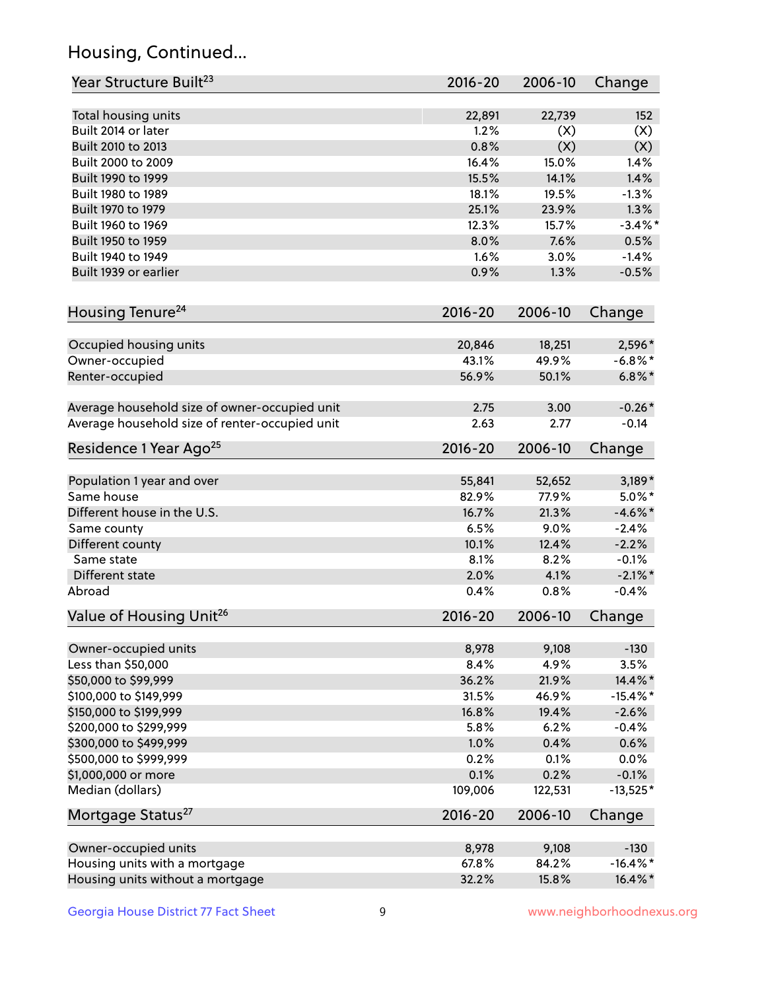## Housing, Continued...

| Year Structure Built <sup>23</sup>             | 2016-20     | 2006-10 | Change      |
|------------------------------------------------|-------------|---------|-------------|
| Total housing units                            | 22,891      | 22,739  | 152         |
| Built 2014 or later                            | 1.2%        | (X)     | (X)         |
| Built 2010 to 2013                             | 0.8%        | (X)     | (X)         |
| Built 2000 to 2009                             | 16.4%       | 15.0%   | 1.4%        |
| Built 1990 to 1999                             | 15.5%       | 14.1%   | 1.4%        |
| Built 1980 to 1989                             | 18.1%       | 19.5%   | $-1.3%$     |
| Built 1970 to 1979                             | 25.1%       | 23.9%   | 1.3%        |
| Built 1960 to 1969                             | 12.3%       | 15.7%   | $-3.4%$ *   |
| Built 1950 to 1959                             | 8.0%        | 7.6%    | 0.5%        |
| Built 1940 to 1949                             | 1.6%        | 3.0%    | $-1.4%$     |
| Built 1939 or earlier                          | 0.9%        | 1.3%    | $-0.5%$     |
| Housing Tenure <sup>24</sup>                   | $2016 - 20$ | 2006-10 | Change      |
| Occupied housing units                         | 20,846      | 18,251  | 2,596*      |
| Owner-occupied                                 | 43.1%       | 49.9%   | $-6.8\%$ *  |
| Renter-occupied                                | 56.9%       | 50.1%   | $6.8\%$ *   |
| Average household size of owner-occupied unit  | 2.75        | 3.00    | $-0.26*$    |
| Average household size of renter-occupied unit | 2.63        | 2.77    | $-0.14$     |
| Residence 1 Year Ago <sup>25</sup>             | $2016 - 20$ | 2006-10 | Change      |
|                                                |             |         |             |
| Population 1 year and over                     | 55,841      | 52,652  | $3,189*$    |
| Same house                                     | 82.9%       | 77.9%   | $5.0\%$ *   |
| Different house in the U.S.                    | 16.7%       | 21.3%   | $-4.6\%$ *  |
| Same county                                    | 6.5%        | 9.0%    | $-2.4%$     |
| Different county                               | 10.1%       | 12.4%   | $-2.2%$     |
| Same state                                     | 8.1%        | 8.2%    | $-0.1%$     |
| Different state                                | 2.0%        | 4.1%    | $-2.1\%$ *  |
| Abroad                                         | 0.4%        | 0.8%    | $-0.4%$     |
| Value of Housing Unit <sup>26</sup>            | $2016 - 20$ | 2006-10 | Change      |
| Owner-occupied units                           | 8,978       | 9,108   | $-130$      |
| Less than \$50,000                             | 8.4%        | 4.9%    | 3.5%        |
| \$50,000 to \$99,999                           | 36.2%       | 21.9%   | 14.4%*      |
| \$100,000 to \$149,999                         | 31.5%       | 46.9%   | $-15.4\%$ * |
| \$150,000 to \$199,999                         | 16.8%       | 19.4%   | $-2.6%$     |
| \$200,000 to \$299,999                         | 5.8%        | 6.2%    | $-0.4%$     |
| \$300,000 to \$499,999                         | 1.0%        | 0.4%    | 0.6%        |
| \$500,000 to \$999,999                         | 0.2%        | 0.1%    | 0.0%        |
| \$1,000,000 or more                            | 0.1%        | 0.2%    | $-0.1%$     |
| Median (dollars)                               | 109,006     | 122,531 | $-13,525*$  |
| Mortgage Status <sup>27</sup>                  | $2016 - 20$ | 2006-10 | Change      |
| Owner-occupied units                           | 8,978       | 9,108   | $-130$      |
| Housing units with a mortgage                  | 67.8%       | 84.2%   | $-16.4\%$ * |
| Housing units without a mortgage               | 32.2%       | 15.8%   | 16.4%*      |
|                                                |             |         |             |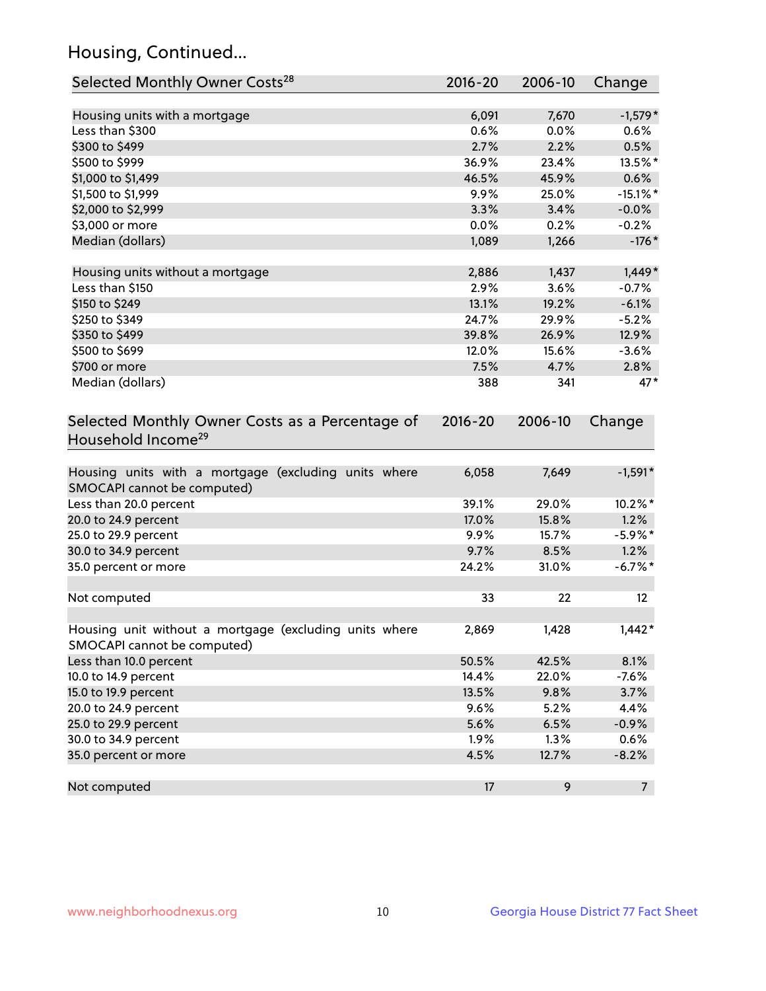## Housing, Continued...

| Selected Monthly Owner Costs <sup>28</sup>                                            | 2016-20 | 2006-10 | Change         |
|---------------------------------------------------------------------------------------|---------|---------|----------------|
| Housing units with a mortgage                                                         | 6,091   | 7,670   | $-1,579*$      |
| Less than \$300                                                                       | 0.6%    | 0.0%    | 0.6%           |
| \$300 to \$499                                                                        | 2.7%    | 2.2%    | 0.5%           |
| \$500 to \$999                                                                        | 36.9%   | 23.4%   | 13.5%*         |
| \$1,000 to \$1,499                                                                    | 46.5%   | 45.9%   | 0.6%           |
| \$1,500 to \$1,999                                                                    | 9.9%    | 25.0%   | $-15.1\%$ *    |
| \$2,000 to \$2,999                                                                    | 3.3%    | 3.4%    | $-0.0\%$       |
| \$3,000 or more                                                                       | 0.0%    | 0.2%    | $-0.2%$        |
| Median (dollars)                                                                      | 1,089   | 1,266   | $-176*$        |
| Housing units without a mortgage                                                      | 2,886   | 1,437   | $1,449*$       |
| Less than \$150                                                                       | 2.9%    | 3.6%    | $-0.7%$        |
| \$150 to \$249                                                                        | 13.1%   | 19.2%   | $-6.1%$        |
| \$250 to \$349                                                                        | 24.7%   | 29.9%   | $-5.2%$        |
| \$350 to \$499                                                                        | 39.8%   | 26.9%   | 12.9%          |
| \$500 to \$699                                                                        | 12.0%   | 15.6%   | $-3.6%$        |
| \$700 or more                                                                         | 7.5%    | 4.7%    | 2.8%           |
| Median (dollars)                                                                      | 388     | 341     | $47*$          |
| Household Income <sup>29</sup>                                                        |         |         |                |
| Housing units with a mortgage (excluding units where<br>SMOCAPI cannot be computed)   | 6,058   | 7,649   | $-1,591*$      |
| Less than 20.0 percent                                                                | 39.1%   | 29.0%   | 10.2%*         |
| 20.0 to 24.9 percent                                                                  | 17.0%   | 15.8%   | 1.2%           |
| 25.0 to 29.9 percent                                                                  | 9.9%    | 15.7%   | $-5.9\%$ *     |
| 30.0 to 34.9 percent                                                                  | 9.7%    | 8.5%    | 1.2%           |
| 35.0 percent or more                                                                  | 24.2%   | 31.0%   | $-6.7\%$ *     |
| Not computed                                                                          | 33      | 22      | 12             |
| Housing unit without a mortgage (excluding units where<br>SMOCAPI cannot be computed) | 2,869   | 1,428   | $1,442*$       |
| Less than 10.0 percent                                                                | 50.5%   | 42.5%   | 8.1%           |
| 10.0 to 14.9 percent                                                                  | 14.4%   | 22.0%   | $-7.6%$        |
| 15.0 to 19.9 percent                                                                  | 13.5%   | 9.8%    | 3.7%           |
| 20.0 to 24.9 percent                                                                  | 9.6%    | 5.2%    | 4.4%           |
| 25.0 to 29.9 percent                                                                  | 5.6%    | 6.5%    | $-0.9%$        |
| 30.0 to 34.9 percent                                                                  | 1.9%    | 1.3%    | 0.6%           |
| 35.0 percent or more                                                                  | 4.5%    | 12.7%   | $-8.2%$        |
| Not computed                                                                          | 17      | 9       | 7 <sup>7</sup> |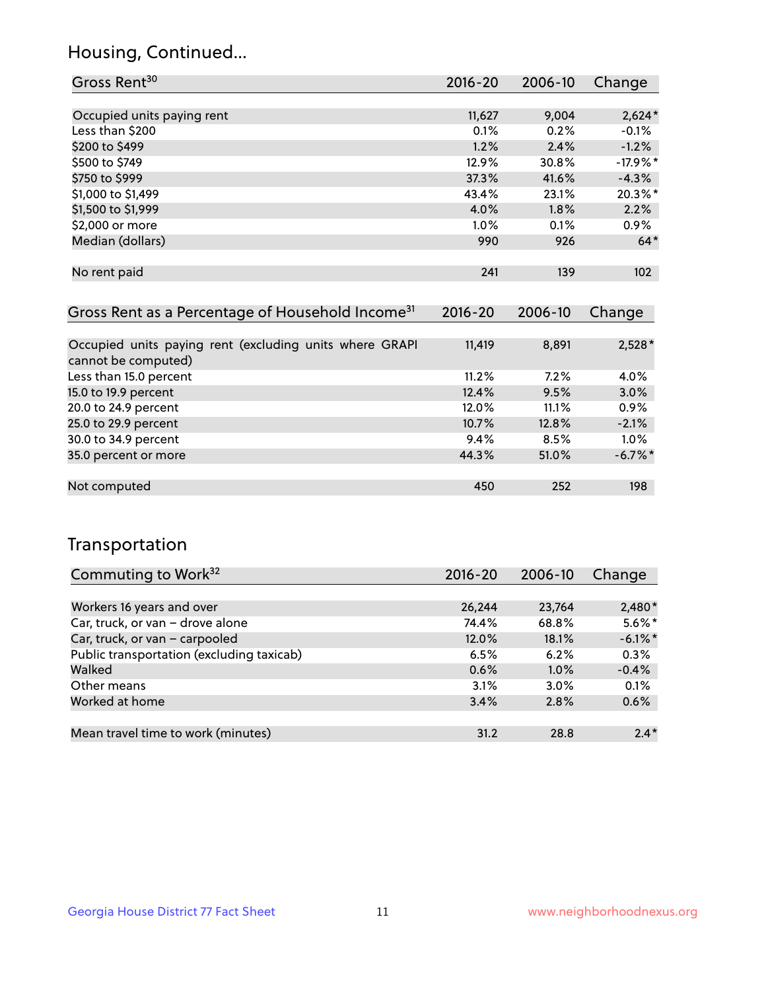## Housing, Continued...

| Gross Rent <sup>30</sup>                                     | 2016-20     | 2006-10 | Change           |
|--------------------------------------------------------------|-------------|---------|------------------|
|                                                              |             |         |                  |
| Occupied units paying rent                                   | 11,627      | 9,004   | $2,624*$         |
| Less than \$200                                              | 0.1%        | 0.2%    | $-0.1%$          |
| \$200 to \$499                                               | 1.2%        | 2.4%    | $-1.2%$          |
| \$500 to \$749                                               | 12.9%       | 30.8%   | $-17.9%$ *       |
| \$750 to \$999                                               | 37.3%       | 41.6%   | $-4.3%$          |
| \$1,000 to \$1,499                                           | 43.4%       | 23.1%   | 20.3%*           |
| \$1,500 to \$1,999                                           | 4.0%        | 1.8%    | 2.2%             |
| \$2,000 or more                                              | $1.0\%$     | 0.1%    | $0.9\%$          |
| Median (dollars)                                             | 990         | 926     | $64*$            |
|                                                              |             |         |                  |
| No rent paid                                                 | 241         | 139     | 102 <sub>2</sub> |
|                                                              |             |         |                  |
| Gross Rent as a Percentage of Household Income <sup>31</sup> | $2016 - 20$ | 2006-10 | Change           |

| Occupied units paying rent (excluding units where GRAPI | 11,419 | 8,891 | $2,528*$   |
|---------------------------------------------------------|--------|-------|------------|
| cannot be computed)                                     |        |       |            |
| Less than 15.0 percent                                  | 11.2%  | 7.2%  | 4.0%       |
| 15.0 to 19.9 percent                                    | 12.4%  | 9.5%  | 3.0%       |
| 20.0 to 24.9 percent                                    | 12.0%  | 11.1% | $0.9\%$    |
| 25.0 to 29.9 percent                                    | 10.7%  | 12.8% | $-2.1%$    |
| 30.0 to 34.9 percent                                    | 9.4%   | 8.5%  | 1.0%       |
| 35.0 percent or more                                    | 44.3%  | 51.0% | $-6.7\%$ * |
|                                                         |        |       |            |
| Not computed                                            | 450    | 252   | 198        |

## Transportation

| Commuting to Work <sup>32</sup>           | 2016-20 | 2006-10 | Change     |
|-------------------------------------------|---------|---------|------------|
|                                           |         |         |            |
| Workers 16 years and over                 | 26,244  | 23,764  | $2,480*$   |
| Car, truck, or van - drove alone          | 74.4%   | 68.8%   | $5.6\%$ *  |
| Car, truck, or van - carpooled            | 12.0%   | 18.1%   | $-6.1\%$ * |
| Public transportation (excluding taxicab) | 6.5%    | 6.2%    | 0.3%       |
| Walked                                    | 0.6%    | 1.0%    | $-0.4%$    |
| Other means                               | 3.1%    | $3.0\%$ | 0.1%       |
| Worked at home                            | 3.4%    | 2.8%    | 0.6%       |
|                                           |         |         |            |
| Mean travel time to work (minutes)        | 31.2    | 28.8    | $2.4*$     |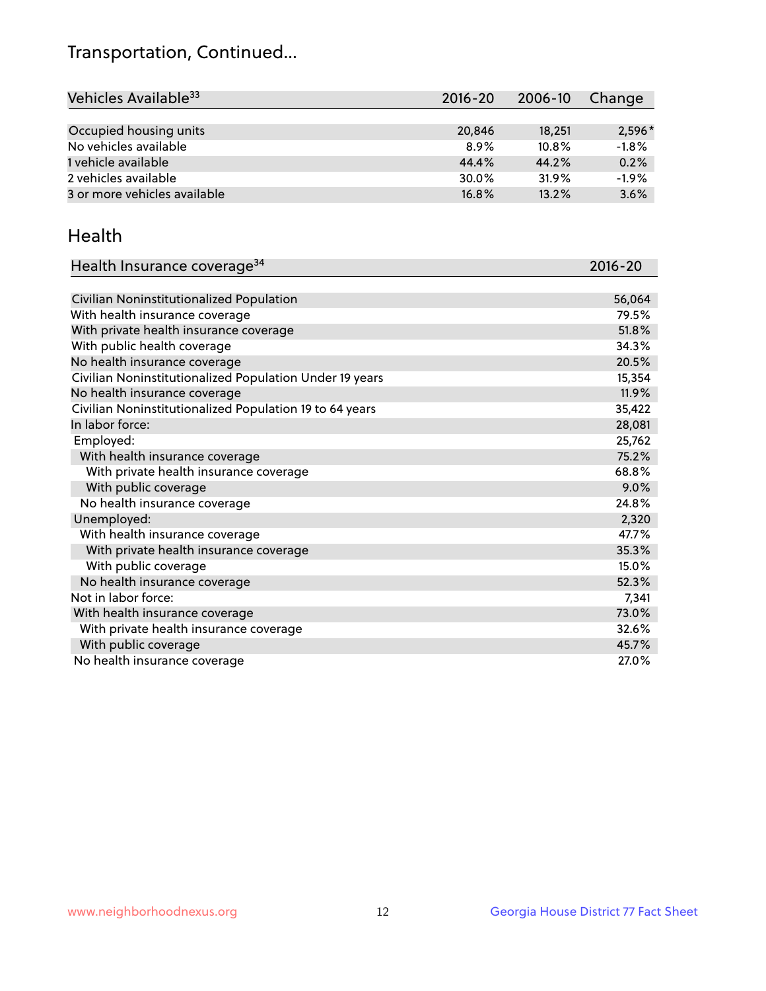## Transportation, Continued...

| Vehicles Available <sup>33</sup> | 2016-20 | 2006-10  | Change   |
|----------------------------------|---------|----------|----------|
|                                  |         |          |          |
| Occupied housing units           | 20,846  | 18,251   | $2,596*$ |
| No vehicles available            | $8.9\%$ | $10.8\%$ | $-1.8%$  |
| 1 vehicle available              | 44.4%   | 44.2%    | 0.2%     |
| 2 vehicles available             | 30.0%   | 31.9%    | $-1.9%$  |
| 3 or more vehicles available     | 16.8%   | 13.2%    | 3.6%     |

#### Health

| Health Insurance coverage <sup>34</sup>                 | 2016-20 |
|---------------------------------------------------------|---------|
|                                                         |         |
| Civilian Noninstitutionalized Population                | 56,064  |
| With health insurance coverage                          | 79.5%   |
| With private health insurance coverage                  | 51.8%   |
| With public health coverage                             | 34.3%   |
| No health insurance coverage                            | 20.5%   |
| Civilian Noninstitutionalized Population Under 19 years | 15,354  |
| No health insurance coverage                            | 11.9%   |
| Civilian Noninstitutionalized Population 19 to 64 years | 35,422  |
| In labor force:                                         | 28,081  |
| Employed:                                               | 25,762  |
| With health insurance coverage                          | 75.2%   |
| With private health insurance coverage                  | 68.8%   |
| With public coverage                                    | 9.0%    |
| No health insurance coverage                            | 24.8%   |
| Unemployed:                                             | 2,320   |
| With health insurance coverage                          | 47.7%   |
| With private health insurance coverage                  | 35.3%   |
| With public coverage                                    | 15.0%   |
| No health insurance coverage                            | 52.3%   |
| Not in labor force:                                     | 7,341   |
| With health insurance coverage                          | 73.0%   |
| With private health insurance coverage                  | 32.6%   |
| With public coverage                                    | 45.7%   |
| No health insurance coverage                            | 27.0%   |